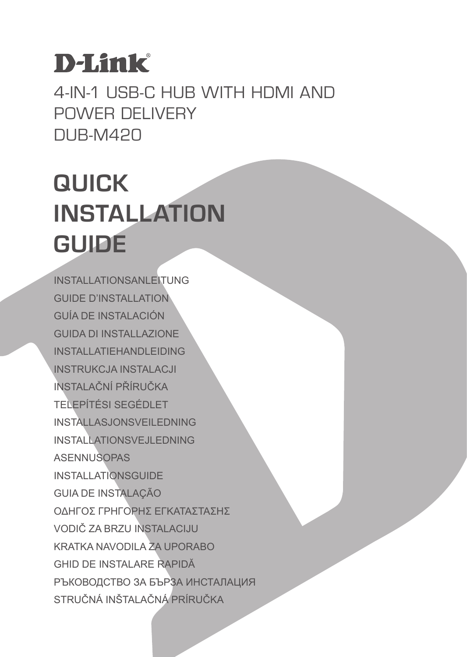# **D-Link**

4-IN-1 USB-C HUB WITH HDMI AND POWER DELIVERY DUB-M420

# **QUICK INSTALLATION GUIDE**

INSTALLATIONSANLEITUNG GUIDE D'INSTALLATION GUÍA DE INSTALACIÓN GUIDA DI INSTALLAZIONE INSTALL ATIFHANDL FIDING INSTRUKCJA INSTALACJI INSTALAČNÍ PŘÍRUČKA TELEPÍTÉSI SEGÉDLET INSTALLASJONSVEILEDNING INSTALLATIONSVEJLEDNING ASENNUSOPAS INSTALLATIONSGUIDE GUIA DE INSTALAÇÃO ΟΔΗΓΟΣ ΓΡΗΓΟΡΗΣ ΕΓΚΑΤΑΣΤΑΣΗΣ VODIČ ZA BRZU INSTALACIJU KRATKA NAVODILA ZA UPORABO GHID DE INSTALARE RAPIDĂ РЪКОВОДСТВО ЗА БЪРЗА ИНСТАЛАЦИЯ STRUČNÁ INŠTALAČNÁ PRÍRUČKA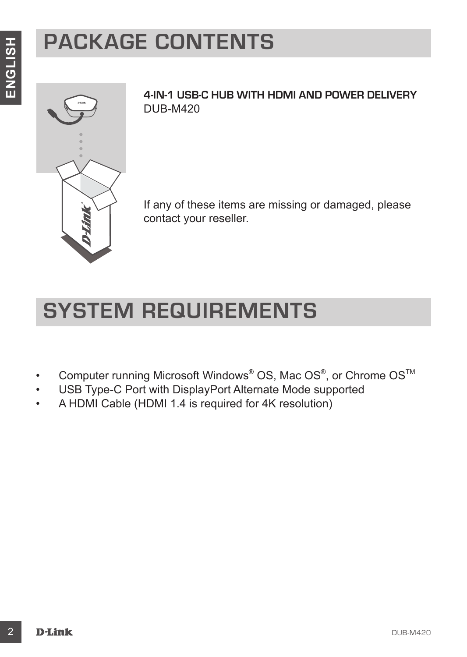# **PACKAGE CONTENTS**



**4-IN-1 USB-C HUB WITH HDMI AND POWER DELIVERY** DUB-M420

If any of these items are missing or damaged, please contact your reseller.

## **SYSTEM REQUIREMENTS**

- Computer running Microsoft Windows® OS, Mac OS®, or Chrome OS<sup>™</sup>
- USB Type-C Port with DisplayPort Alternate Mode supported
- A HDMI Cable (HDMI 1.4 is required for 4K resolution)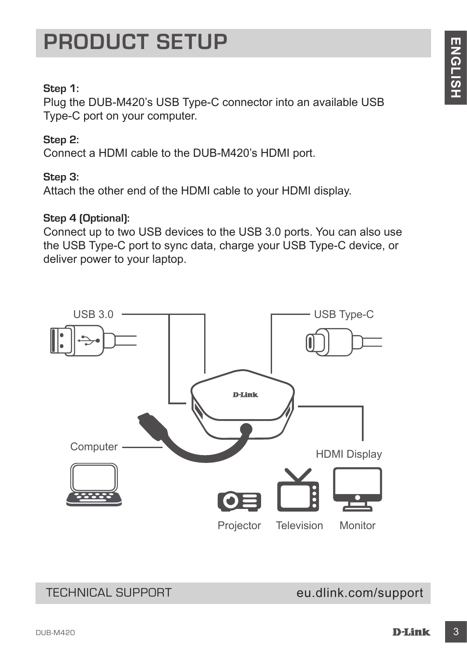### **PRODUCT SETUP**

#### **Step 1:**

Plug the DUB-M420's USB Type-C connector into an available USB Type-C port on your computer.

#### **Step 2:**

Connect a HDMI cable to the DUB-M420's HDMI port.

#### **Step 3:**

Attach the other end of the HDMI cable to your HDMI display.

#### **Step 4 (Optional):**

Connect up to two USB devices to the USB 3.0 ports. You can also use the USB Type-C port to sync data, charge your USB Type-C device, or deliver power to your laptop.



#### TECHNICAL SUPPORT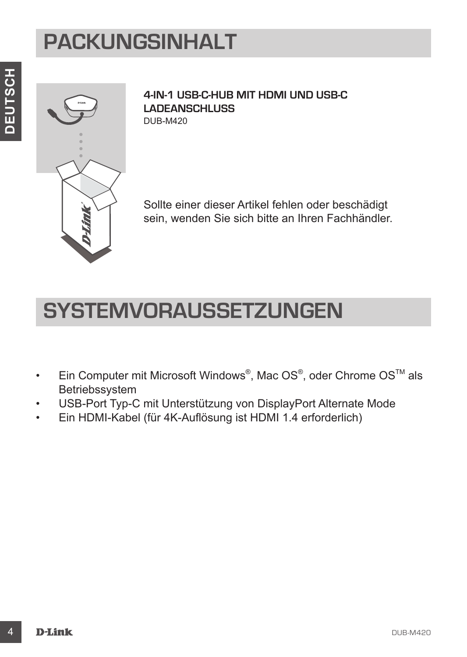## **PACKUNGSINHALT**



**4-IN-1 USB-C-HUB MIT HDMI UND USB-C LADEANSCHLUSS** DUB-M420

Sollte einer dieser Artikel fehlen oder beschädigt sein, wenden Sie sich bitte an Ihren Fachhändler.

### **SYSTEMVORAUSSETZUNGEN**

- Ein Computer mit Microsoft Windows®, Mac OS®, oder Chrome OS™ als Betriebssystem
- USB-Port Typ-C mit Unterstützung von DisplayPort Alternate Mode
- Ein HDMI-Kabel (für 4K-Auflösung ist HDMI 1.4 erforderlich)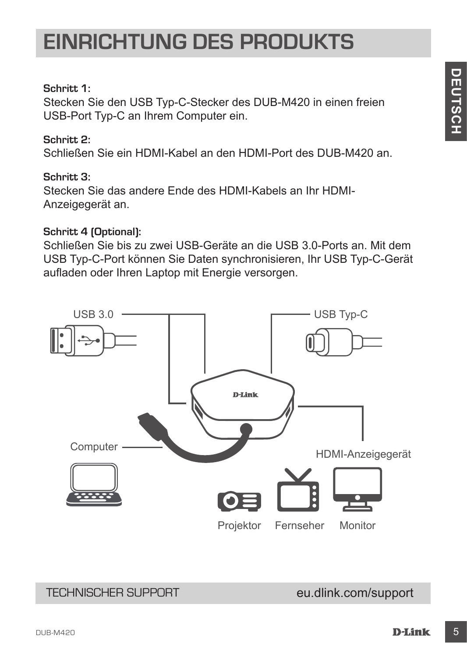### **EINRICHTUNG DES PRODUKTS**

#### **Schritt 1:**

Stecken Sie den USB Typ-C-Stecker des DUB-M420 in einen freien USB-Port Typ-C an Ihrem Computer ein.

#### **Schritt 2:**

Schließen Sie ein HDMI-Kabel an den HDMI-Port des DUB-M420 an.

#### **Schritt 3:**

Stecken Sie das andere Ende des HDMI-Kabels an Ihr HDMI-Anzeigegerät an.

#### **Schritt 4 (Optional):**

Schließen Sie bis zu zwei USB-Geräte an die USB 3.0-Ports an. Mit dem USB Typ-C-Port können Sie Daten synchronisieren, Ihr USB Typ-C-Gerät aufladen oder Ihren Laptop mit Energie versorgen.



#### TECHNISCHER SUPPORT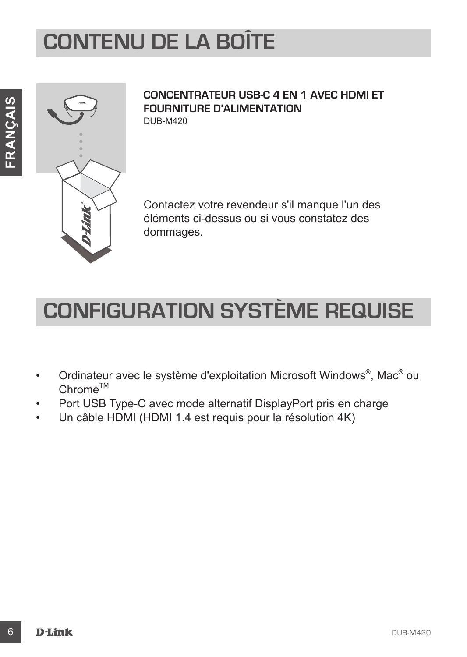# **CONTENU DE LA BOÎTE**



#### **CONCENTRATEUR USB-C 4 EN 1 AVEC HDMI ET FOURNITURE D'ALIMENTATION** DUB-M420

Contactez votre revendeur s'il manque l'un des éléments ci-dessus ou si vous constatez des dommages.

## **CONFIGURATION SYSTÈME REQUISE**

- Ordinateur avec le système d'exploitation Microsoft Windows®, Mac® ou  $Chrome^{TM}$
- Port USB Type-C avec mode alternatif DisplayPort pris en charge
- Un câble HDMI (HDMI 1.4 est requis pour la résolution 4K)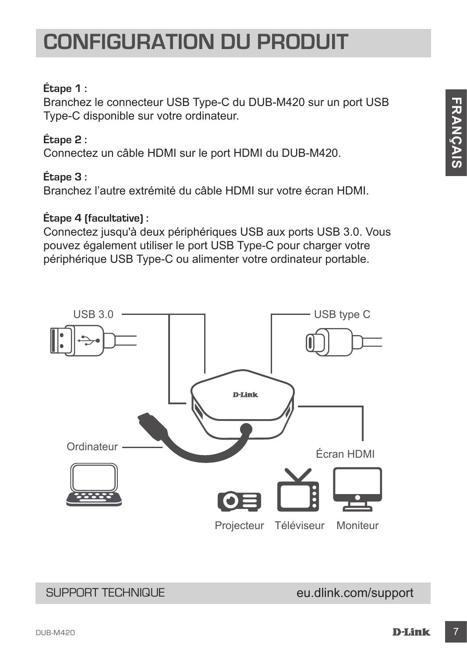### **CONFIGURATION DU PRODUIT**

### **Étape 1 :**

Branchez le connecteur USB Type-C du DUB-M420 sur un port USB Type-C disponible sur votre ordinateur.

### **Étape 2 :**

Connectez un câble HDMI sur le port HDMI du DUB-M420.

#### **Étape 3 :**

Branchez l'autre extrémité du câble HDMI sur votre écran HDMI.

#### **Étape 4 (facultative) :**

Connectez jusqu'à deux périphériques USB aux ports USB 3.0. Vous pouvez également utiliser le port USB Type-C pour charger votre périphérique USB Type-C ou alimenter votre ordinateur portable.



#### SUPPORT TECHNIQUE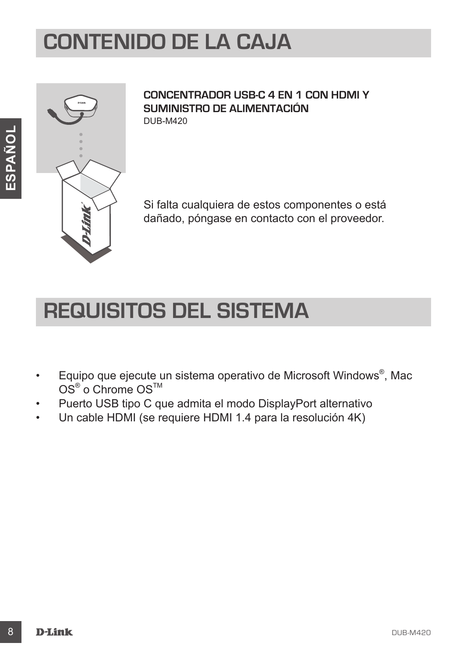### **CONTENIDO DE LA CAJA**



**CONCENTRADOR USB-C 4 EN 1 CON HDMI Y SUMINISTRO DE ALIMENTACIÓN** DUB-M420

Si falta cualquiera de estos componentes o está dañado, póngase en contacto con el proveedor.

### **REQUISITOS DEL SISTEMA**

- Equipo que ejecute un sistema operativo de Microsoft Windows®, Mac  $\mathsf{OS}^\circledast$  o Chrome  $\mathsf{OS}^\mathsf{TM}$
- Puerto USB tipo C que admita el modo DisplayPort alternativo
- Un cable HDMI (se requiere HDMI 1.4 para la resolución 4K)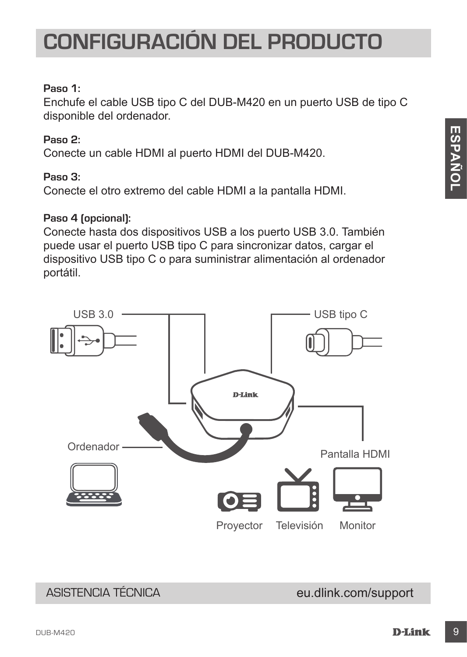## **CONFIGURACIÓN DEL PRODUCTO**

#### **Paso 1:**

Enchufe el cable USB tipo C del DUB-M420 en un puerto USB de tipo C disponible del ordenador.

#### **Paso 2:**

Conecte un cable HDMI al puerto HDMI del DUB-M420.

#### **Paso 3:**

Conecte el otro extremo del cable HDMI a la pantalla HDMI.

#### **Paso 4 (opcional):**

Conecte hasta dos dispositivos USB a los puerto USB 3.0. También puede usar el puerto USB tipo C para sincronizar datos, cargar el dispositivo USB tipo C o para suministrar alimentación al ordenador portátil.



### ASISTENCIA TÉCNICA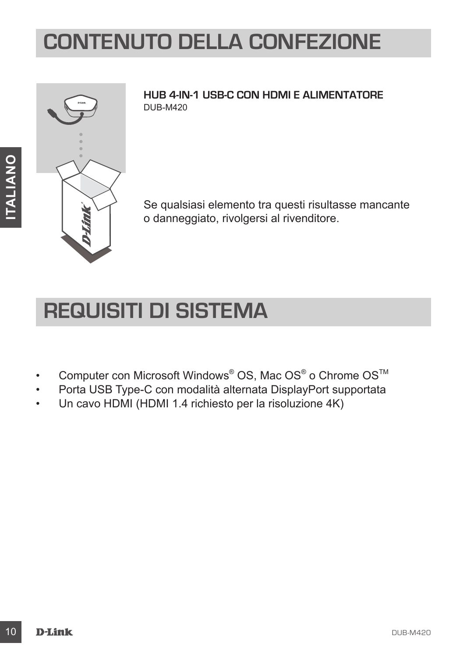## **CONTENUTO DELLA CONFEZIONE**



**HUB 4-IN-1 USB-C CON HDMI E ALIMENTATORE** DUB-M420

Se qualsiasi elemento tra questi risultasse mancante o danneggiato, rivolgersi al rivenditore.

### **REQUISITI DI SISTEMA**

- Computer con Microsoft Windows® OS, Mac OS® o Chrome OS™
- Porta USB Type-C con modalità alternata DisplayPort supportata
- Un cavo HDMI (HDMI 1.4 richiesto per la risoluzione 4K)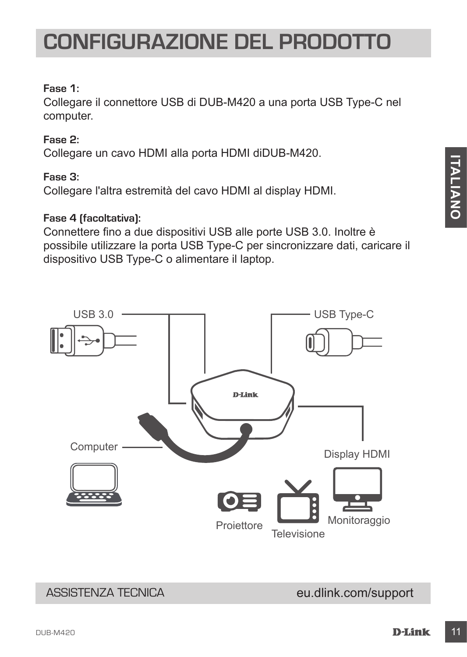#### **Fase 1:**

Collegare il connettore USB di DUB-M420 a una porta USB Type-C nel computer.

#### **Fase 2:**

Collegare un cavo HDMI alla porta HDMI diDUB-M420.

#### **Fase 3:**

Collegare l'altra estremità del cavo HDMI al display HDMI.

#### **Fase 4 (facoltativa):**

Connettere fino a due dispositivi USB alle porte USB 3.0. Inoltre è possibile utilizzare la porta USB Type-C per sincronizzare dati, caricare il dispositivo USB Type-C o alimentare il laptop.



**ITALIANO**

**TALIANO** 

### ASSISTENZA TECNICA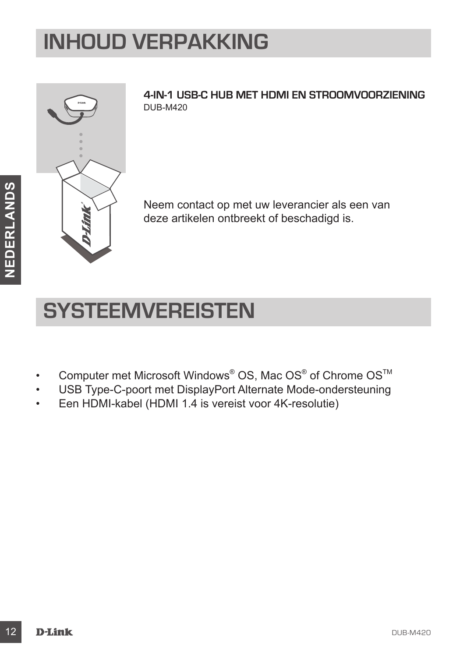## **INHOUD VERPAKKING**



**4-IN-1 USB-C HUB MET HDMI EN STROOMVOORZIENING** DUB-M420

Neem contact op met uw leverancier als een van deze artikelen ontbreekt of beschadigd is.

## **SYSTEEMVEREISTEN**

- Computer met Microsoft Windows® OS, Mac OS® of Chrome OS™
- USB Type-C-poort met DisplayPort Alternate Mode-ondersteuning
- Een HDMI-kabel (HDMI 1.4 is vereist voor 4K-resolutie)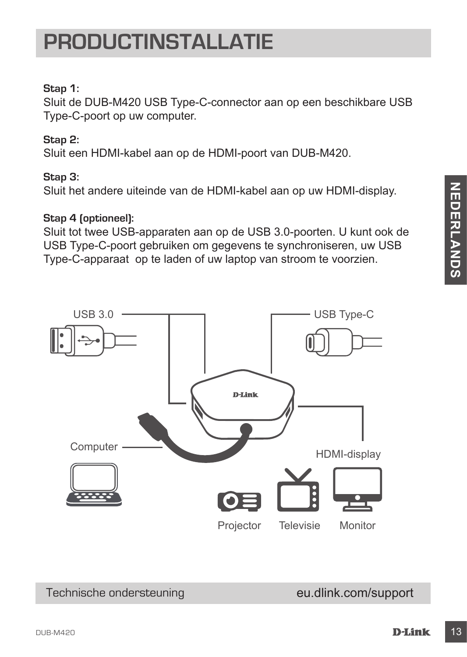Technische ondersteuning

**NEDERLANDS**

**NEDERLANDS** 

## **PRODUCTINSTALLATIE**

### **Stap 1:**

Sluit de DUB-M420 USB Type-C-connector aan op een beschikbare USB Type-C-poort op uw computer.

### **Stap 2:**

Sluit een HDMI-kabel aan op de HDMI-poort van DUB-M420.

### **Stap 3:**

Sluit het andere uiteinde van de HDMI-kabel aan op uw HDMI-display.

### **Stap 4 (optioneel):**

Sluit tot twee USB-apparaten aan op de USB 3.0-poorten. U kunt ook de USB Type-C-poort gebruiken om gegevens te synchroniseren, uw USB Type-C-apparaat op te laden of uw laptop van stroom te voorzien.

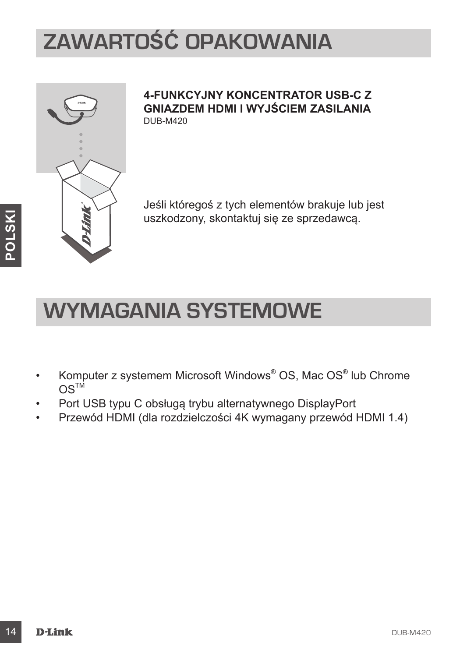# **ZAWARTOŚĆ OPAKOWANIA**



#### **4-FUNKCYJNY KONCENTRATOR USB-C Z GNIAZDEM HDMI I WYJŚCIEM ZASILANIA** DUB-M420

Jeśli któregoś z tych elementów brakuje lub jest uszkodzony, skontaktuj się ze sprzedawcą.

### **WYMAGANIA SYSTEMOWE**

- Komputer z systemem Microsoft Windows® OS, Mac OS® lub Chrome  $OS^{TM}$
- Port USB typu C obsługą trybu alternatywnego DisplayPort
- Przewód HDMI (dla rozdzielczości 4K wymagany przewód HDMI 1.4)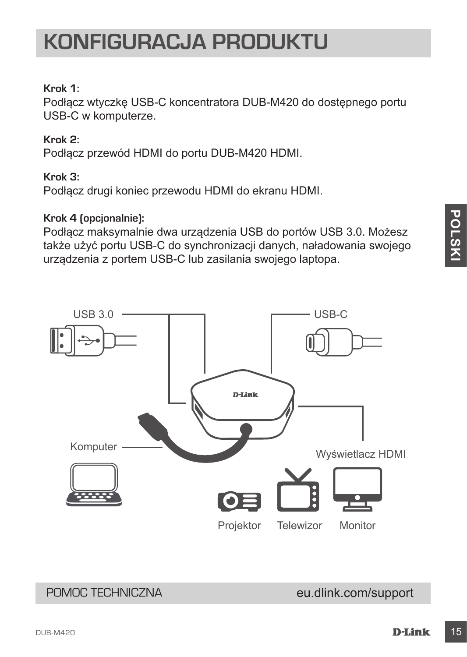### **KONFIGURACJA PRODUKTU**

#### **Krok 1:**

Podłącz wtyczkę USB-C koncentratora DUB-M420 do dostępnego portu USB-C w komputerze.

#### **Krok 2:**

Podłącz przewód HDMI do portu DUB-M420 HDMI.

#### **Krok 3:**

Podłącz drugi koniec przewodu HDMI do ekranu HDMI.

#### **Krok 4 (opcjonalnie):**

Podłącz maksymalnie dwa urządzenia USB do portów USB 3.0. Możesz także użyć portu USB-C do synchronizacji danych, naładowania swojego urządzenia z portem USB-C lub zasilania swojego laptopa.



### POMOC TECHNICZNA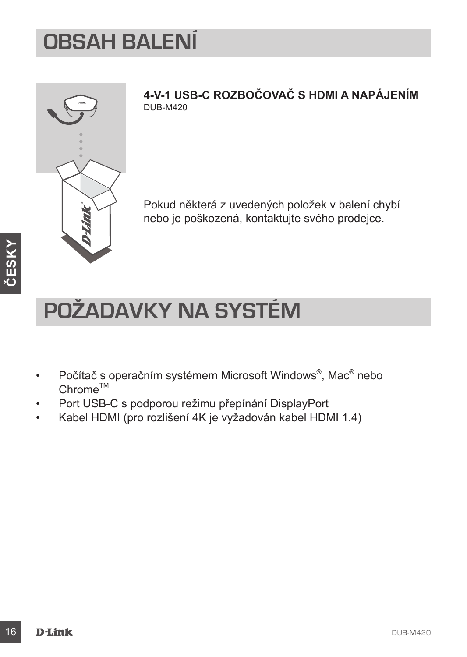### **OBSAH BALENÍ**

**ČESKY**

**4-V-1 USB-C ROZBOČOVAČ S HDMI A NAPÁJENÍM** DUB-M420

Pokud některá z uvedených položek v balení chybí nebo je poškozená, kontaktujte svého prodejce.

# **POŽADAVKY NA SYSTÉM**

- Počítač s operačním systémem Microsoft Windows®, Mac® nebo  $Chrome^{TM}$
- Port USB-C s podporou režimu přepínání DisplayPort
- Kabel HDMI (pro rozlišení 4K je vyžadován kabel HDMI 1.4)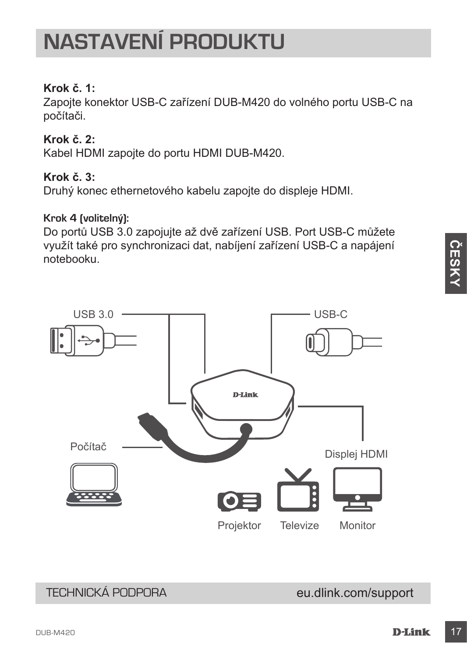## **NASTAVENÍ PRODUKTU**

### **Krok č. 1:**

Zapojte konektor USB-C zařízení DUB-M420 do volného portu USB-C na počítači.

### **Krok č. 2:**

Kabel HDMI zapojte do portu HDMI DUB-M420.

### **Krok č. 3:**

Druhý konec ethernetového kabelu zapojte do displeje HDMI.

#### **Krok 4 (volitelný):**

Do portů USB 3.0 zapojujte až dvě zařízení USB. Port USB-C můžete využít také pro synchronizaci dat, nabíjení zařízení USB-C a napájení notebooku.





### TECHNICKÁ PODPORA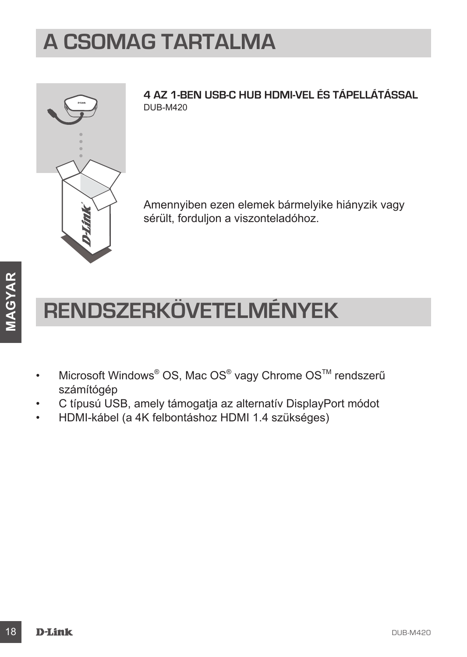## **A CSOMAG TARTALMA**



**4 AZ 1-BEN USB-C HUB HDMI-VEL ÉS TÁPELLÁTÁSSAL** DUB-M420

Amennyiben ezen elemek bármelyike hiányzik vagy sérült, forduljon a viszonteladóhoz.

# **RENDSZERKÖVETELMÉNYEK**

- Microsoft Windows® OS, Mac OS® vagy Chrome OS™ rendszerű számítógép
- C típusú USB, amely támogatja az alternatív DisplayPort módot
- HDMI-kábel (a 4K felbontáshoz HDMI 1.4 szükséges)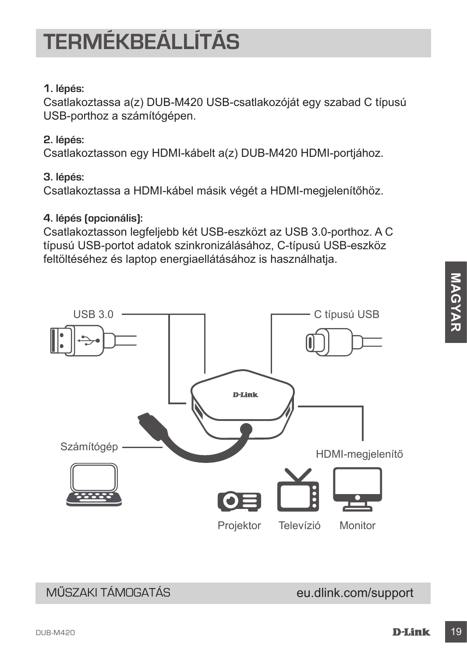MŰSZAKI TÁMOGATÁS

**MAGYAR**

MAGYAR

# **TERMÉKBEÁLLÍTÁS**

### **1. lépés:**

Csatlakoztassa a(z) DUB-M420 USB-csatlakozóját egy szabad C típusú USB-porthoz a számítógépen.

### **2. lépés:**

Csatlakoztasson egy HDMI-kábelt a(z) DUB-M420 HDMI-portjához.

### **3. lépés:**

Csatlakoztassa a HDMI-kábel másik végét a HDMI-megjelenítőhöz.

### **4. lépés (opcionális):**

Csatlakoztasson legfeljebb két USB-eszközt az USB 3.0-porthoz. A C típusú USB-portot adatok szinkronizálásához, C-típusú USB-eszköz feltöltéséhez és laptop energiaellátásához is használhatja.

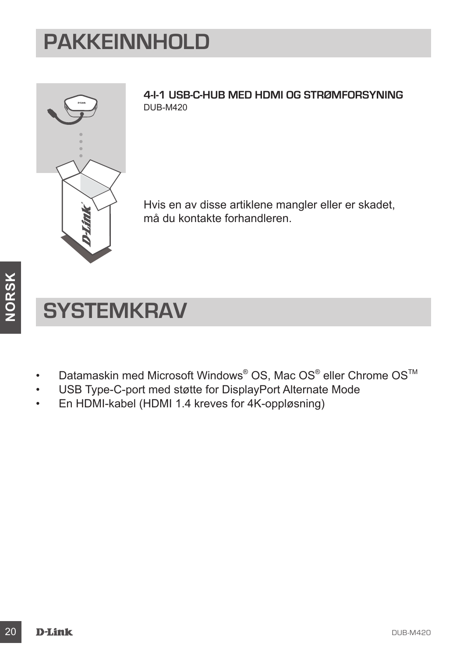## **PAKKEINNHOLD**



**4-I-1 USB-C-HUB MED HDMI OG STRØMFORSYNING** DUB-M420

Hvis en av disse artiklene mangler eller er skadet, må du kontakte forhandleren.

## **SYSTEMKRAV**

- Datamaskin med Microsoft Windows® OS, Mac OS® eller Chrome OS<sup>™</sup>
- USB Type-C-port med støtte for DisplayPort Alternate Mode
- En HDMI-kabel (HDMI 1.4 kreves for 4K-oppløsning)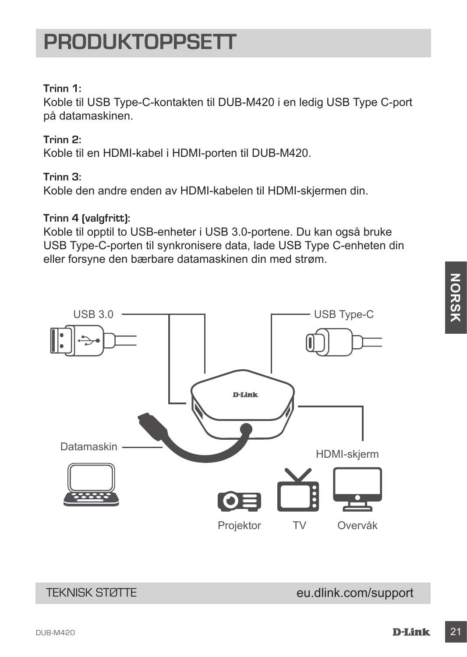TEKNISK STØTTE

### dub-M420 **D-Link 21 and 21 and 22 and 22 and 23 and 23 and 24 and 24 and 24 and 24 and 24 and 24 and 25 and 26**

eu.dlink.com/support

### **PRODUKTOPPSETT**

### **Trinn 1:**

Koble til USB Type-C-kontakten til DUB-M420 i en ledig USB Type C-port på datamaskinen.

### **Trinn 2:**

Koble til en HDMI-kabel i HDMI-porten til DUB-M420.

### **Trinn 3:**

Koble den andre enden av HDMI-kabelen til HDMI-skjermen din.

#### **Trinn 4 (valgfritt):**

Koble til opptil to USB-enheter i USB 3.0-portene. Du kan også bruke USB Type-C-porten til synkronisere data, lade USB Type C-enheten din eller forsyne den bærbare datamaskinen din med strøm.

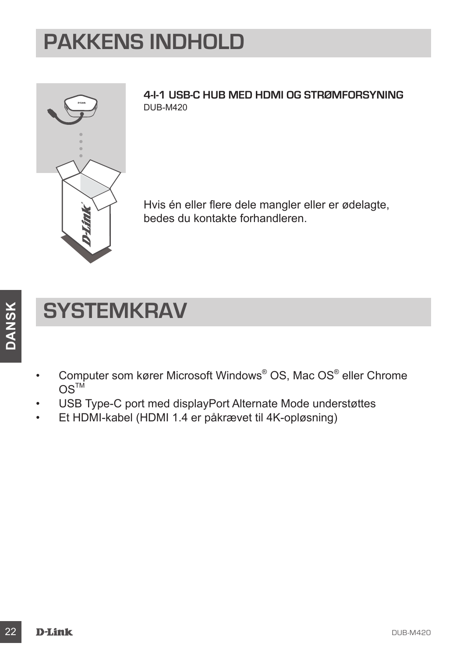## **PAKKENS INDHOLD**



**4-I-1 USB-C HUB MED HDMI OG STRØMFORSYNING** DUB-M420

Hvis én eller flere dele mangler eller er ødelagte, bedes du kontakte forhandleren.

## **SYSTEMKRAV**

- Computer som kører Microsoft Windows® OS, Mac OS® eller Chrome  $OS<sup>TM</sup>$
- USB Type-C port med displayPort Alternate Mode understøttes
- Et HDMI-kabel (HDMI 1.4 er påkrævet til 4K-opløsning)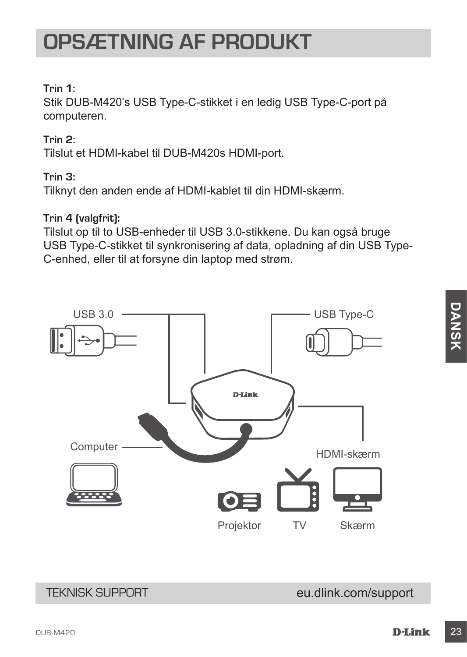### **OPSÆTNING AF PRODUKT**

#### **Trin 1:**

Stik DUB-M420's USB Type-C-stikket i en ledig USB Type-C-port på computeren.

#### **Trin 2:**

Tilslut et HDMI-kabel til DUB-M420s HDMI-port.

#### **Trin 3:**

Tilknyt den anden ende af HDMI-kablet til din HDMI-skærm.

#### **Trin 4 (valgfrit):**

Tilslut op til to USB-enheder til USB 3.0-stikkene. Du kan også bruge USB Type-C-stikket til synkronisering af data, opladning af din USB Type-C-enhed, eller til at forsyne din laptop med strøm.



### TEKNISK SUPPORT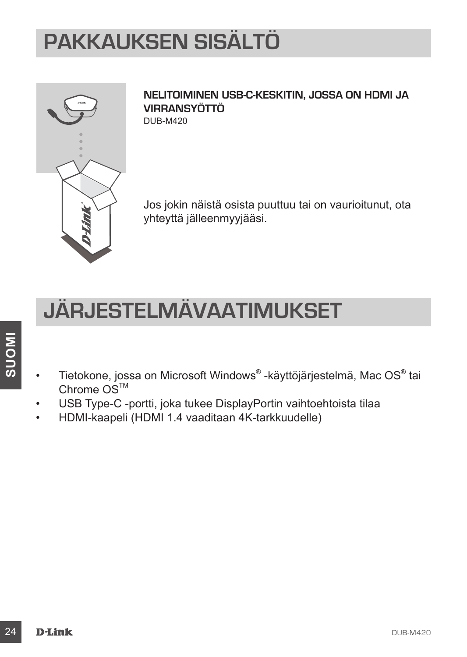## **PAKKAUKSEN SISÄLTÖ**



**NELITOIMINEN USB-C-KESKITIN, JOSSA ON HDMI JA VIRRANSYÖTTÖ** DUB-M420

Jos jokin näistä osista puuttuu tai on vaurioitunut, ota yhteyttä jälleenmyyjääsi.

## **JÄRJESTELMÄVAATIMUKSET**

- Tietokone, jossa on Microsoft Windows® -käyttöjärjestelmä, Mac OS® tai Chrome OS<sup>™</sup>
- USB Type-C -portti, joka tukee DisplayPortin vaihtoehtoista tilaa
- HDMI-kaapeli (HDMI 1.4 vaaditaan 4K-tarkkuudelle)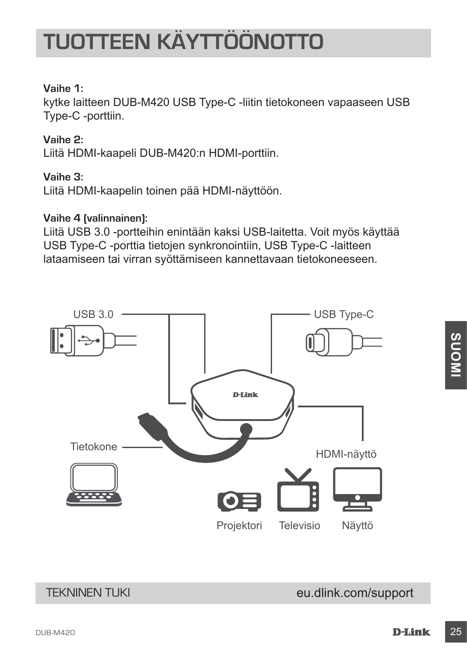# **TUOTTEEN KÄYTTÖÖNOTTO**

#### **Vaihe 1:**

kytke laitteen DUB-M420 USB Type-C -liitin tietokoneen vapaaseen USB Type-C -porttiin.

#### **Vaihe 2:**

Liitä HDMI-kaapeli DUB-M420:n HDMI-porttiin.

#### **Vaihe 3:**

Liitä HDMI-kaapelin toinen pää HDMI-näyttöön.

#### **Vaihe 4 (valinnainen):**

Liitä USB 3.0 -portteihin enintään kaksi USB-laitetta. Voit myös käyttää USB Type-C -porttia tietojen synkronointiin, USB Type-C -laitteen lataamiseen tai virran syöttämiseen kannettavaan tietokoneeseen.



**SUOMI**

### TEKNINEN TUKI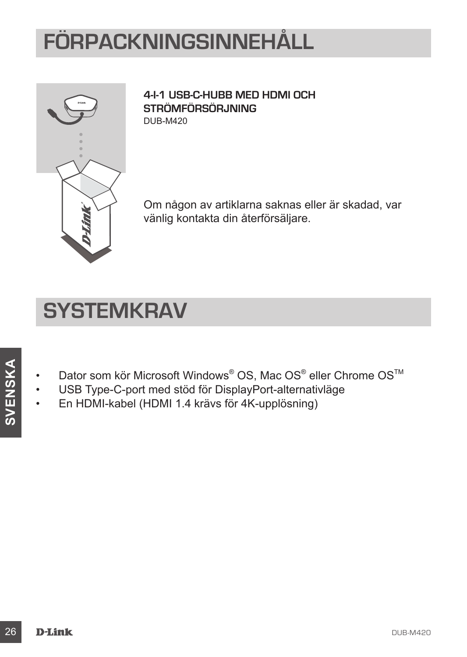# **FÖRPACKNINGSINNEHÅLL**



**4-I-1 USB-C-HUBB MED HDMI OCH STRÖMFÖRSÖRJNING** DUB-M420

Om någon av artiklarna saknas eller är skadad, var vänlig kontakta din återförsäljare.

### **SYSTEMKRAV**

- Dator som kör Microsoft Windows<sup>®</sup> OS, Mac OS<sup>®</sup> eller Chrome OS<sup>™</sup>
- USB Type-C-port med stöd för DisplayPort-alternativläge
- En HDMI-kabel (HDMI 1.4 krävs för 4K-upplösning)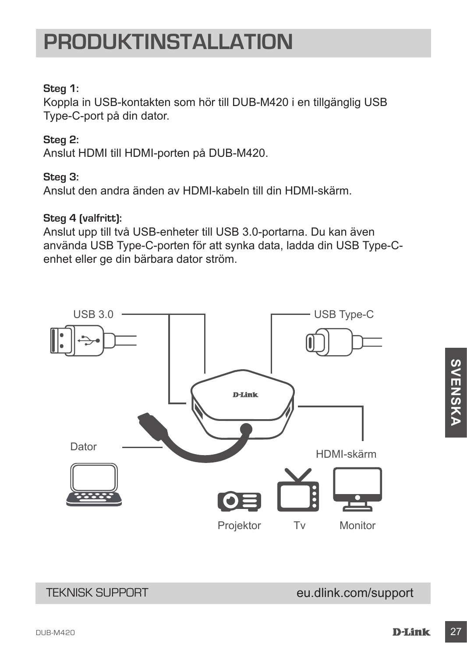### **PRODUKTINSTALLATION**

#### **Steg 1:**

Koppla in USB-kontakten som hör till DUB-M420 i en tillgänglig USB Type-C-port på din dator.

#### **Steg 2:**

Anslut HDMI till HDMI-porten på DUB-M420.

#### **Steg 3:**

Anslut den andra änden av HDMI-kabeln till din HDMI-skärm.

#### **Steg 4 (valfritt):**

Anslut upp till två USB-enheter till USB 3.0-portarna. Du kan även använda USB Type-C-porten för att synka data, ladda din USB Type-Cenhet eller ge din bärbara dator ström.



### eu.dlink.com/support

TEKNISK SUPPORT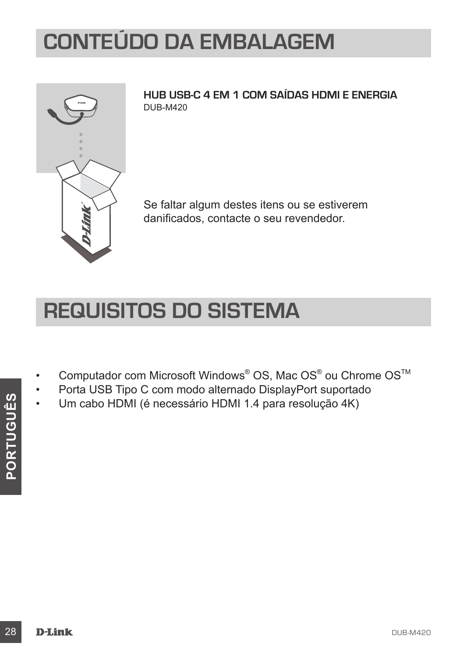## **CONTEÚDO DA EMBALAGEM**



**HUB USB-C 4 EM 1 COM SAÍDAS HDMI E ENERGIA** DUB-M420

Se faltar algum destes itens ou se estiverem danificados, contacte o seu revendedor.

### **REQUISITOS DO SISTEMA**

- Computador com Microsoft Windows<sup>®</sup> OS, Mac OS<sup>®</sup> ou Chrome OS<sup>™</sup>
- Porta USB Tipo C com modo alternado DisplayPort suportado
- Um cabo HDMI (é necessário HDMI 1.4 para resolução 4K)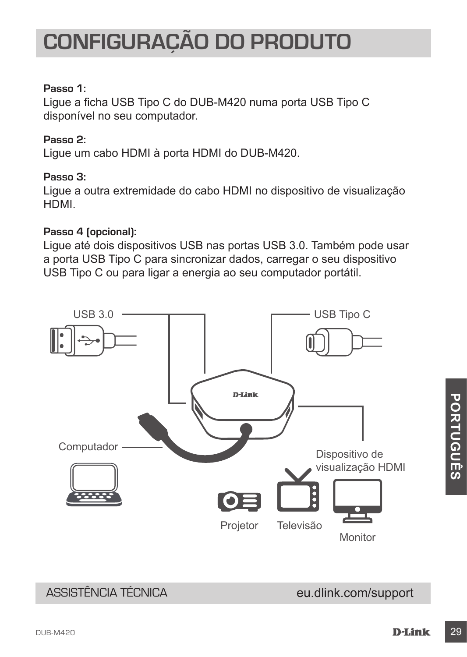#### **Passo 1:**

Ligue a ficha USB Tipo C do DUB-M420 numa porta USB Tipo C disponível no seu computador.

#### **Passo 2:**

Ligue um cabo HDMI à porta HDMI do DUB-M420.

#### **Passo 3:**

Ligue a outra extremidade do cabo HDMI no dispositivo de visualização HDMI.

#### **Passo 4 (opcional):**

Ligue até dois dispositivos USB nas portas USB 3.0. Também pode usar a porta USB Tipo C para sincronizar dados, carregar o seu dispositivo USB Tipo C ou para ligar a energia ao seu computador portátil.



### ASSISTÊNCIA TÉCNICA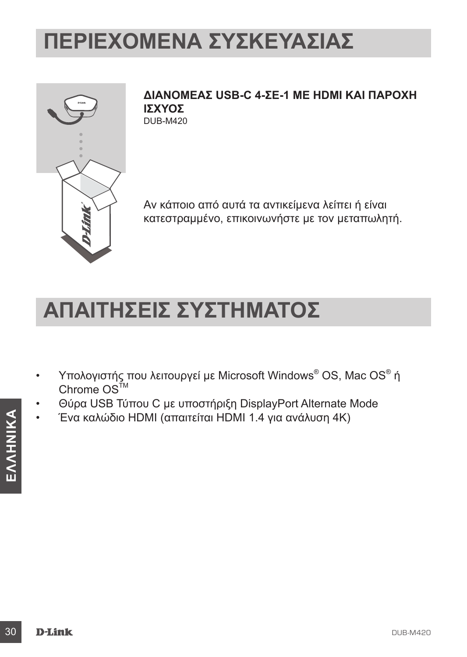## **ΠΕΡΙΕΧΌΜΕΝΑ ΣΥΣΚΕΥΑΣΊΑΣ**



**ΔΙΑΝΟΜΈΑΣ USB-C 4-ΣΕ-1 ΜΕ HDMI ΚΑΙ ΠΑΡΟΧΉ ΙΣΧΎΟΣ** DUB-M420

Αν κάποιο από αυτά τα αντικείμενα λείπει ή είναι κατεστραμμένο, επικοινωνήστε με τον μεταπωλητή.

### **ΑΠΑΙΤΉΣΕΙΣ ΣΥΣΤΉΜΑΤΟΣ**

- Υπολογιστής που λειτουργεί με Microsoft Windows® OS, Mac OS® ή Chrome  $OS^{TM}$
- Θύρα USB Τύπου C με υποστήριξη DisplayPort Alternate Mode
- Ένα καλώδιο HDMI (απαιτείται HDMI 1.4 για ανάλυση 4K)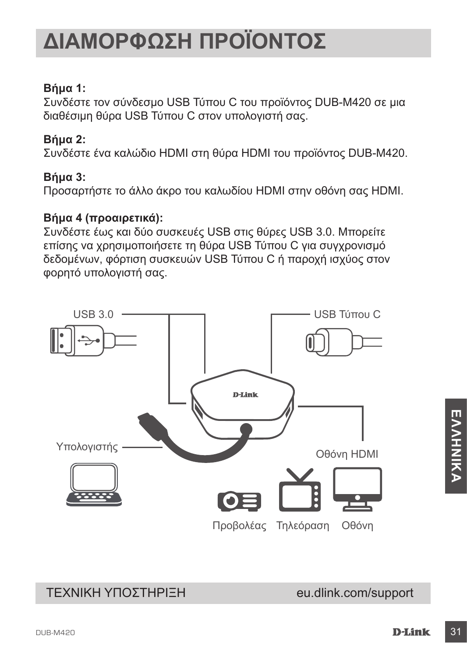### **Βήμα 1:**

Συνδέστε τον σύνδεσμο USB Τύπου C του προϊόντος DUB-M420 σε μια διαθέσιμη θύρα USB Τύπου C στον υπολογιστή σας.

### **Βήμα 2:**

Συνδέστε ένα καλώδιο HDMI στη θύρα HDMI του προϊόντος DUB-M420.

### **Βήμα 3:**

Προσαρτήστε το άλλο άκρο του καλωδίου HDMI στην οθόνη σας HDMI.

#### **Βήμα 4 (προαιρετικά):**

Συνδέστε έως και δύο συσκευές USB στις θύρες USB 3.0. Μπορείτε επίσης να χρησιμοποιήσετε τη θύρα USB Τύπου C για συγχρονισμό δεδομένων, φόρτιση συσκευών USB Τύπου C ή παροχή ισχύος στον φορητό υπολογιστή σας.



### eu.dlink.com/support

ΤΕΧΝΙΚΗ ΥΠΟΣΤΗΡΙΞΗ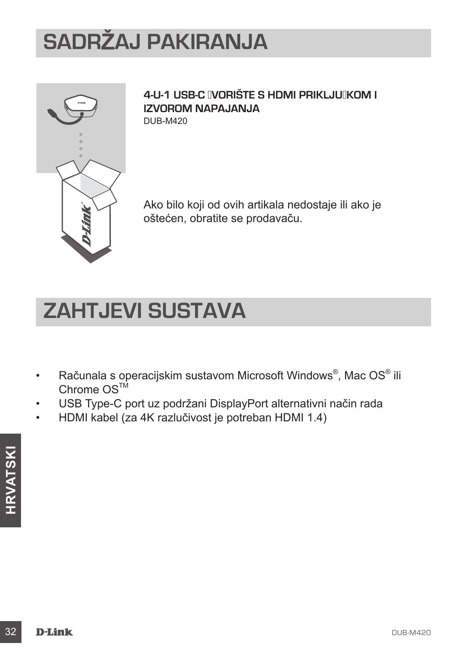# **SADRŽAJ PAKIRANJA**



#### 4-U-1 USB-C **INORIŠTE S HDMI PRIKLJUIKOM I IZVOROM NAPAJANJA** DUB-M420

Ako bilo koji od ovih artikala nedostaje ili ako je oštećen, obratite se prodavaču.

## **ZAHTJEVI SUSTAVA**

- Računala s operacijskim sustavom Microsoft Windows®, Mac OS® ili Chrome  $OS^{T\dot{M}}$
- USB Type-C port uz podržani DisplayPort alternativni način rada
- HDMI kabel (za 4K razlučivost je potreban HDMI 1.4)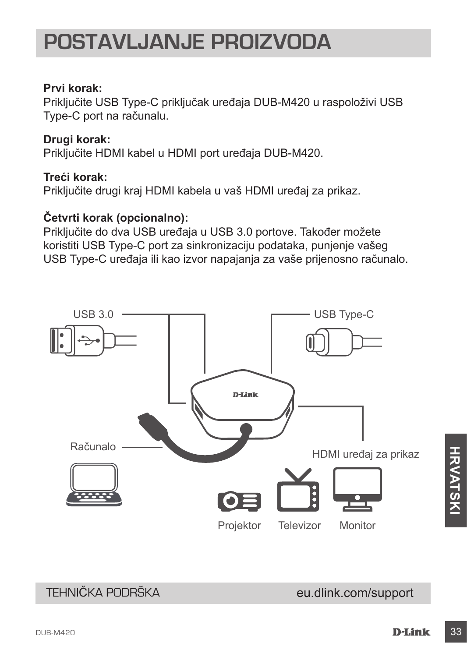### **POSTAVLJANJE PROIZVODA**

#### **Prvi korak:**

Priključite USB Type-C priključak uređaja DUB-M420 u raspoloživi USB Type-C port na računalu.

### **Drugi korak:**

Priključite HDMI kabel u HDMI port uređaja DUB-M420.

#### **Treći korak:**

Priključite drugi kraj HDMI kabela u vaš HDMI uređaj za prikaz.

### **Četvrti korak (opcionalno):**

Priključite do dva USB uređaja u USB 3.0 portove. Također možete koristiti USB Type-C port za sinkronizaciju podataka, punjenje vašeg USB Type-C uređaja ili kao izvor napajanja za vaše prijenosno računalo.



### TEHNIČKA PODRŠKA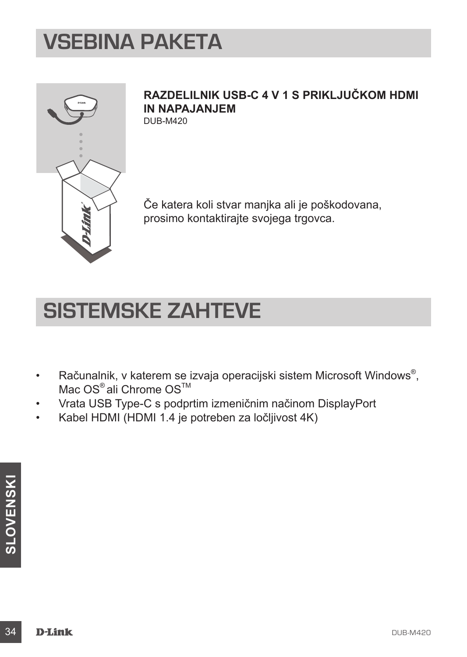## **VSEBINA PAKETA**



### **RAZDELILNIK USB-C 4 V 1 S PRIKLJUČKOM HDMI IN NAPAJANJEM**

DUB-M420

Če katera koli stvar manjka ali je poškodovana, prosimo kontaktirajte svojega trgovca.

## **SISTEMSKE ZAHTEVE**

- Računalnik, v katerem se izvaja operacijski sistem Microsoft Windows® , Mac OS<sup>®</sup> ali Chrome OS<sup>™</sup>
- Vrata USB Type-C s podprtim izmeničnim načinom DisplayPort
- Kabel HDMI (HDMI 1.4 je potreben za ločljivost 4K)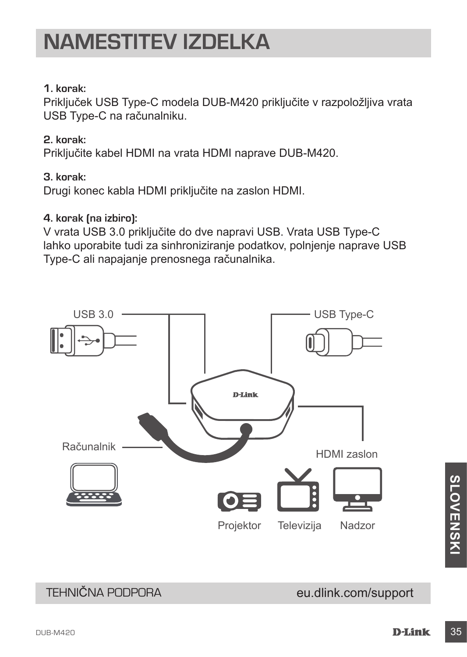#### **1. korak:**

Priključek USB Type-C modela DUB-M420 priključite v razpoložljiva vrata USB Type-C na računalniku.

#### **2. korak:**

Priključite kabel HDMI na vrata HDMI naprave DUB-M420.

#### **3. korak:**

Drugi konec kabla HDMI priključite na zaslon HDMI.

#### **4. korak (na izbiro):**

V vrata USB 3.0 priključite do dve napravi USB. Vrata USB Type-C lahko uporabite tudi za sinhroniziranje podatkov, polnjenje naprave USB Type-C ali napajanje prenosnega računalnika.



### TEHNIČNA PODPORA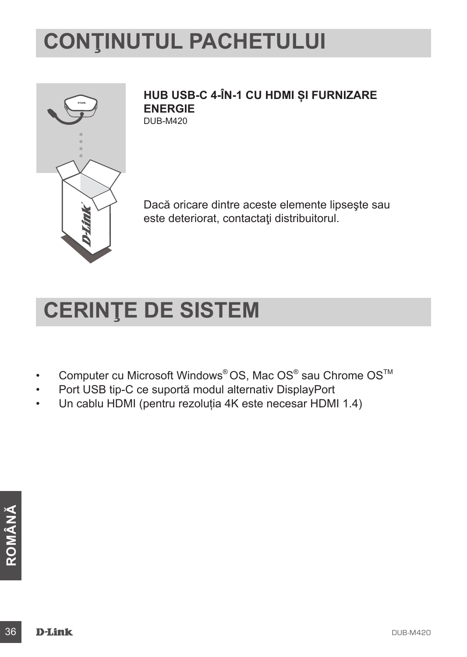# **CONŢINUTUL PACHETULUI**



**HUB USB-C 4-ÎN-1 CU HDMI ȘI FURNIZARE ENERGIE** DUB-M420

Dacă oricare dintre aceste elemente lipseşte sau este deteriorat, contactaţi distribuitorul.

## **CERINŢE DE SISTEM**

- Computer cu Microsoft Windows® OS, Mac OS® sau Chrome OS™
- Port USB tip-C ce suportă modul alternativ DisplayPort
- Un cablu HDMI (pentru rezoluția 4K este necesar HDMI 1.4)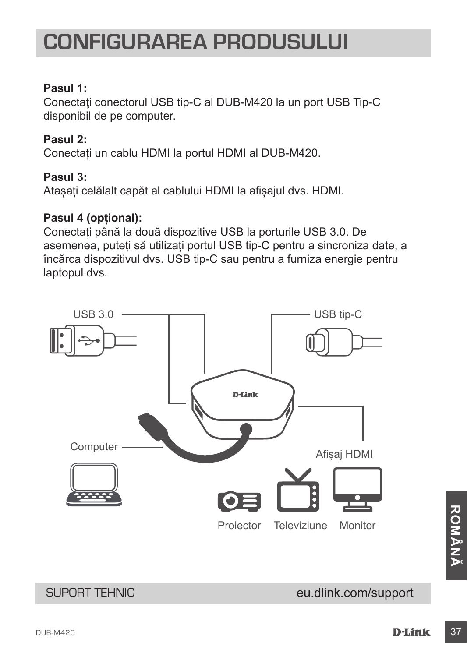### **CONFIGURAREA PRODUSULUI**

### **Pasul 1:**

Conectaţi conectorul USB tip-C al DUB-M420 la un port USB Tip-C disponibil de pe computer.

#### **Pasul 2:**

Conectați un cablu HDMI la portul HDMI al DUB-M420.

#### **Pasul 3:**

Atașați celălalt capăt al cablului HDMI la afișajul dvs. HDMI.

#### **Pasul 4 (opțional):**

Conectați până la două dispozitive USB la porturile USB 3.0. De asemenea, puteți să utilizați portul USB tip-C pentru a sincroniza date, a încărca dispozitivul dvs. USB tip-C sau pentru a furniza energie pentru laptopul dvs.



### eu.dlink.com/support

SUPORT TEHNIC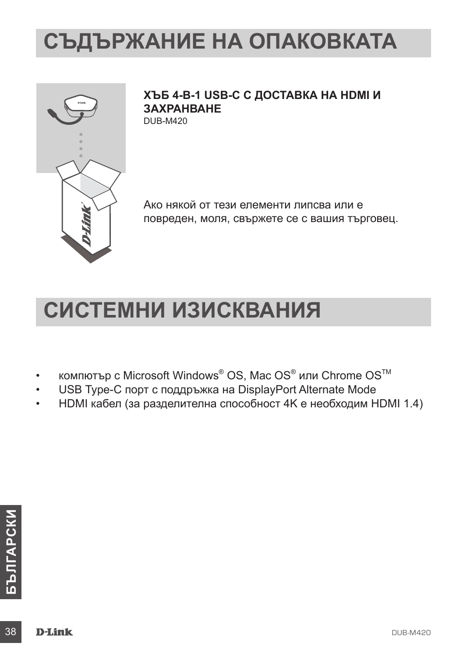## **СЪДЪРЖАНИЕ НА ОПАКОВКАТА**



**ХЪБ 4-В-1 USB-C С ДОСТАВКА НА HDMI И ЗАХРАНВАНЕ** DUB-M420

Ако някой от тези елементи липсва или е повреден, моля, свържете се с вашия търговец.

## **СИСТЕМНИ ИЗИСКВАНИЯ**

- компютър с Microsoft Windows® OS, Mac OS® или Chrome OS™
- USB Type-C порт с поддръжка на DisplayPort Alternate Mode
- НDMI кабел (за разделителна способност 4K е необходим HDMI 1.4)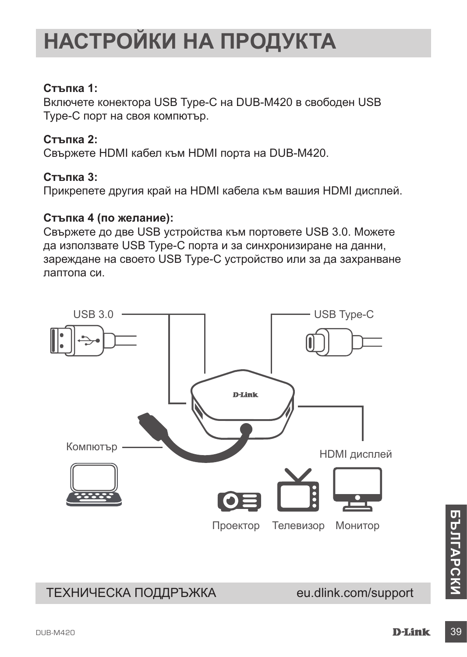# **НАСТРОЙКИ НА ПРОДУКТА**

#### **Стъпка 1:**

Включете конектора USB Type-C на DUB-M420 в свободен USB Type-C порт на своя компютър.

#### **Стъпка 2:**

Свържете HDMI кабел към HDMI порта на DUB-M420.

#### **Стъпка 3:**

Прикрепете другия край на HDMI кабела към вашия HDMI дисплей.

#### **Стъпка 4 (по желание):**

Свържете до две USB устройства към портовете USB 3.0. Можете да използвате USB Type-C порта и за синхронизиране на данни, зареждане на своето USB Type-C устройство или за да захранване лаптопа си.



### ТЕХНИЧЕСКА ПОДДРЪЖКА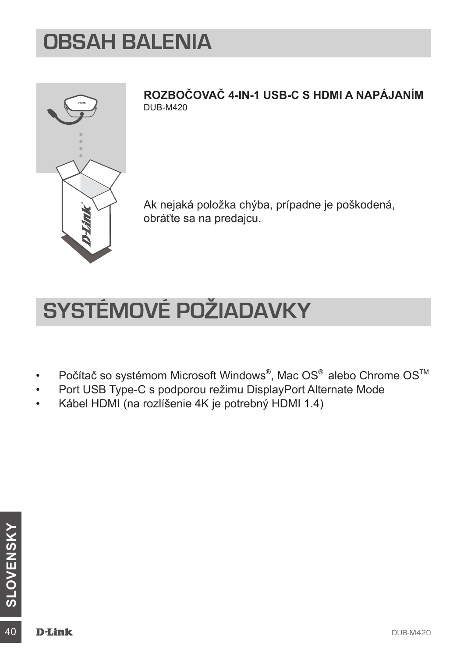### **OBSAH BALENIA**



**ROZBOČOVAČ 4-IN-1 USB-C S HDMI A NAPÁJANÍM** DUB-M420

Ak nejaká položka chýba, prípadne je poškodená, obráťte sa na predajcu.

## **SYSTÉMOVÉ POŽIADAVKY**

- Počítač so systémom Microsoft Windows®, Mac OS® alebo Chrome OS<sup>™</sup>
- Port USB Type-C s podporou režimu DisplayPort Alternate Mode
- Kábel HDMI (na rozlíšenie 4K je potrebný HDMI 1.4)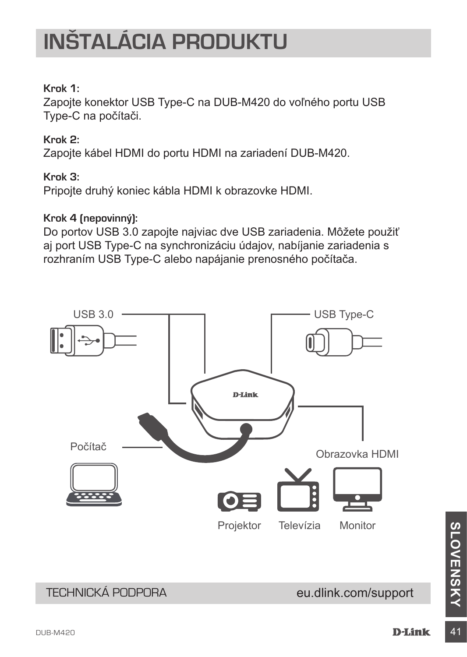# **INŠTALÁCIA PRODUKTU**

#### **Krok 1:**

Zapojte konektor USB Type-C na DUB-M420 do voľného portu USB Type-C na počítači.

#### **Krok 2:**

Zapojte kábel HDMI do portu HDMI na zariadení DUB-M420.

#### **Krok 3:**

Pripojte druhý koniec kábla HDMI k obrazovke HDMI.

#### **Krok 4 (nepovinný):**

Do portov USB 3.0 zapojte najviac dve USB zariadenia. Môžete použiť aj port USB Type-C na synchronizáciu údajov, nabíjanie zariadenia s rozhraním USB Type-C alebo napájanie prenosného počítača.



### eu.dlink.com/support

TECHNICKÁ PODPORA